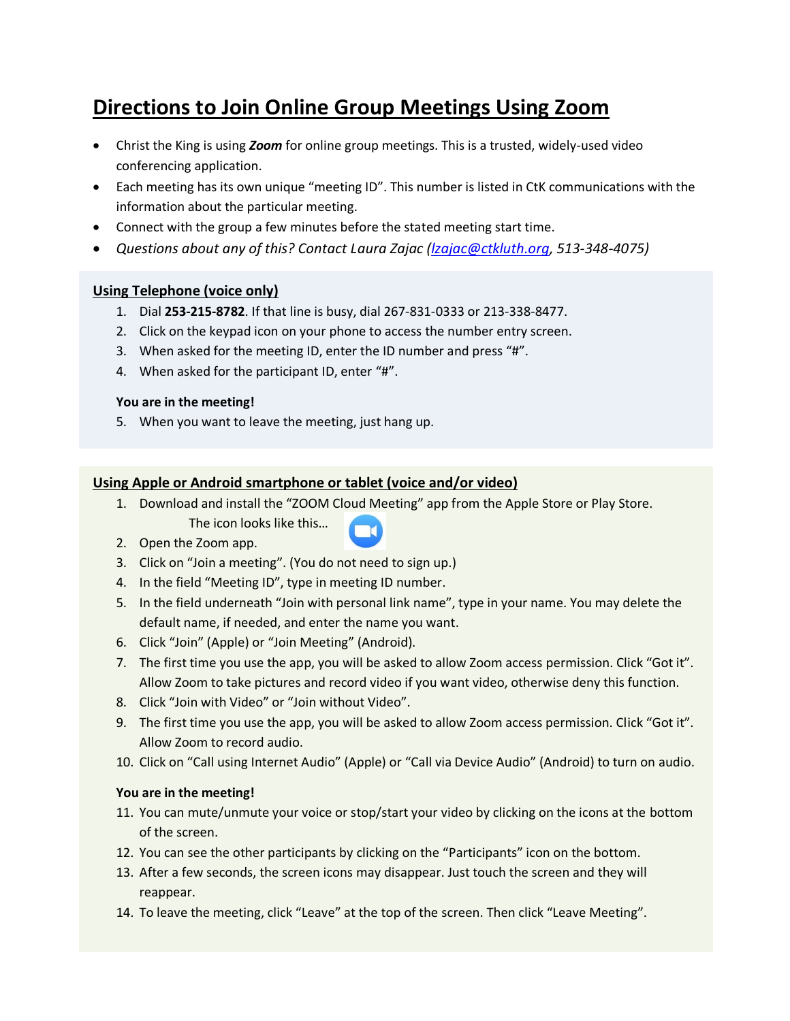# **Directions to Join Online Group Meetings Using Zoom**

- Christ the King is using *Zoom* for online group meetings. This is a trusted, widely-used video conferencing application.
- Each meeting has its own unique "meeting ID". This number is listed in CtK communications with the information about the particular meeting.
- Connect with the group a few minutes before the stated meeting start time.
- *Questions about any of this? Contact Laura Zajac [\(lzajac@ctkluth.org,](mailto:lzajac@ctkluth.org) 513-348-4075)*

## **Using Telephone (voice only)**

- 1. Dial **253-215-8782**. If that line is busy, dial 267-831-0333 or 213-338-8477.
- 2. Click on the keypad icon on your phone to access the number entry screen.
- 3. When asked for the meeting ID, enter the ID number and press "#".
- 4. When asked for the participant ID, enter "#".

### **You are in the meeting!**

5. When you want to leave the meeting, just hang up.

## **Using Apple or Android smartphone or tablet (voice and/or video)**

- 1. Download and install the "ZOOM Cloud Meeting" app from the Apple Store or Play Store.
	- The icon looks like this…



- 2. Open the Zoom app.
- 3. Click on "Join a meeting". (You do not need to sign up.)
- 4. In the field "Meeting ID", type in meeting ID number.
- 5. In the field underneath "Join with personal link name", type in your name. You may delete the default name, if needed, and enter the name you want.
- 6. Click "Join" (Apple) or "Join Meeting" (Android).
- 7. The first time you use the app, you will be asked to allow Zoom access permission. Click "Got it". Allow Zoom to take pictures and record video if you want video, otherwise deny this function.
- 8. Click "Join with Video" or "Join without Video".
- 9. The first time you use the app, you will be asked to allow Zoom access permission. Click "Got it". Allow Zoom to record audio.
- 10. Click on "Call using Internet Audio" (Apple) or "Call via Device Audio" (Android) to turn on audio.

### **You are in the meeting!**

- 11. You can mute/unmute your voice or stop/start your video by clicking on the icons at the bottom of the screen.
- 12. You can see the other participants by clicking on the "Participants" icon on the bottom.
- 13. After a few seconds, the screen icons may disappear. Just touch the screen and they will reappear.
- 14. To leave the meeting, click "Leave" at the top of the screen. Then click "Leave Meeting".